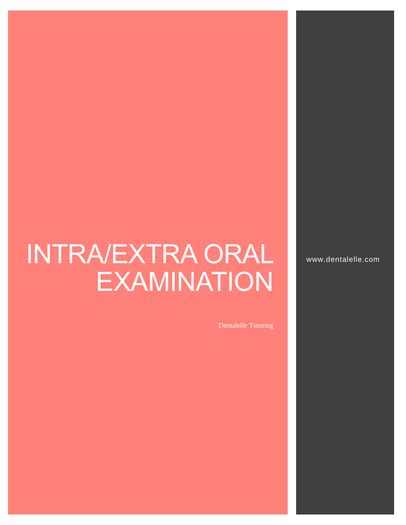# INTRA/EXTRA ORAL **EXAMINATION**

Dentalelle Tutoring

www.dentalelle.com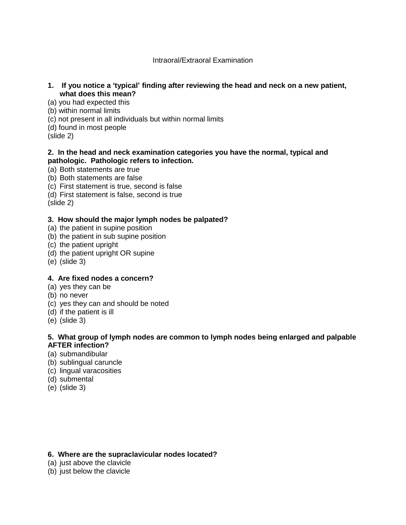#### Intraoral/Extraoral Examination

- **1. If you notice a 'typical' finding after reviewing the head and neck on a new patient, what does this mean?**
- (a) you had expected this
- (b) within normal limits
- (c) not present in all individuals but within normal limits
- (d) found in most people

(slide 2)

#### **2. In the head and neck examination categories you have the normal, typical and pathologic. Pathologic refers to infection.**

- (a) Both statements are true
- (b) Both statements are false
- (c) First statement is true, second is false
- (d) First statement is false, second is true

(slide 2)

# **3. How should the major lymph nodes be palpated?**

- (a) the patient in supine position
- (b) the patient in sub supine position
- (c) the patient upright
- (d) the patient upright OR supine
- (e) (slide 3)

# **4. Are fixed nodes a concern?**

- (a) yes they can be
- (b) no never
- (c) yes they can and should be noted
- (d) if the patient is ill
- (e) (slide 3)

# **5. What group of lymph nodes are common to lymph nodes being enlarged and palpable AFTER infection?**

- (a) submandibular
- (b) sublingual caruncle
- (c) lingual varacosities
- (d) submental
- (e) (slide 3)

# **6. Where are the supraclavicular nodes located?**

- (a) just above the clavicle
- (b) just below the clavicle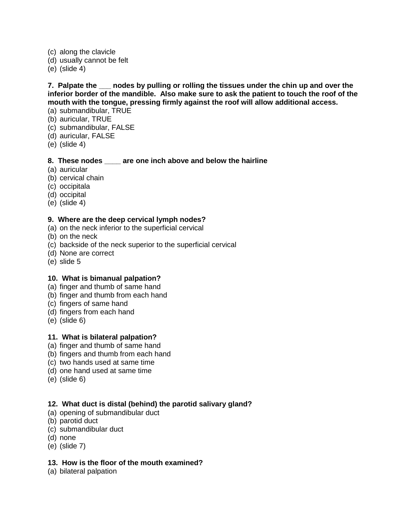- (c) along the clavicle
- (d) usually cannot be felt
- (e) (slide 4)

**7. Palpate the \_\_\_ nodes by pulling or rolling the tissues under the chin up and over the inferior border of the mandible. Also make sure to ask the patient to touch the roof of the mouth with the tongue, pressing firmly against the roof will allow additional access.**

- (a) submandibular, TRUE
- (b) auricular, TRUE
- (c) submandibular, FALSE
- (d) auricular, FALSE
- (e) (slide 4)

# **8. These nodes \_\_\_\_ are one inch above and below the hairline**

- (a) auricular
- (b) cervical chain
- (c) occipitala
- (d) occipital
- (e) (slide 4)

#### **9. Where are the deep cervical lymph nodes?**

- (a) on the neck inferior to the superficial cervical
- (b) on the neck
- (c) backside of the neck superior to the superficial cervical
- (d) None are correct
- (e) slide 5

# **10. What is bimanual palpation?**

- (a) finger and thumb of same hand
- (b) finger and thumb from each hand
- (c) fingers of same hand
- (d) fingers from each hand
- (e) (slide 6)

# **11. What is bilateral palpation?**

- (a) finger and thumb of same hand
- (b) fingers and thumb from each hand
- (c) two hands used at same time
- (d) one hand used at same time
- (e) (slide 6)

# **12. What duct is distal (behind) the parotid salivary gland?**

- (a) opening of submandibular duct
- (b) parotid duct
- (c) submandibular duct
- (d) none
- (e) (slide 7)

# **13. How is the floor of the mouth examined?**

(a) bilateral palpation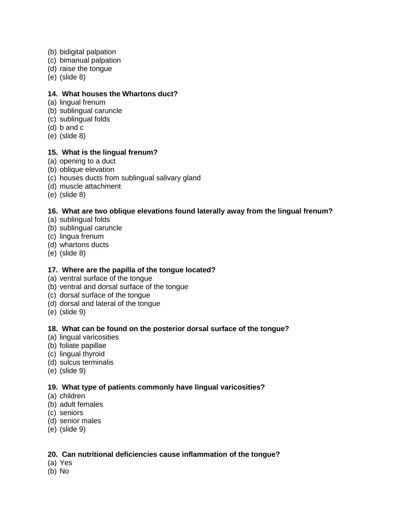- (b) bidigital palpation
- (c) bimanual palpation
- (d) raise the tongue
- (e) (slide 8)

#### **14. What houses the Whartons duct?**

- (a) lingual frenum
- (b) sublingual caruncle
- (c) sublingual folds
- (d) b and c
- (e) (slide 8)

#### **15. What is the lingual frenum?**

- (a) opening to a duct
- (b) oblique elevation
- (c) houses ducts from sublingual salivary gland
- (d) muscle attachment
- (e) (slide 8)

# **16. What are two oblique elevations found laterally away from the lingual frenum?**

- (a) sublingual folds
- (b) sublingual caruncle
- (c) lingua frenum
- (d) whartons ducts
- (e) (slide 8)

# **17. Where are the papilla of the tongue located?**

- (a) ventral surface of the tongue
- (b) ventral and dorsal surface of the tongue
- (c) dorsal surface of the tongue
- (d) dorsal and lateral of the tongue
- (e) (slide 9)

# **18. What can be found on the posterior dorsal surface of the tongue?**

- (a) lingual varicosities
- (b) foliate papillae
- (c) lingual thyroid
- (d) sulcus terminalis
- (e) (slide 9)

# **19. What type of patients commonly have lingual varicosities?**

- (a) children
- (b) adult females
- (c) seniors
- (d) senior males
- (e) (slide 9)

# **20. Can nutritional deficiencies cause inflammation of the tongue?**

- (a) Yes
- (b) No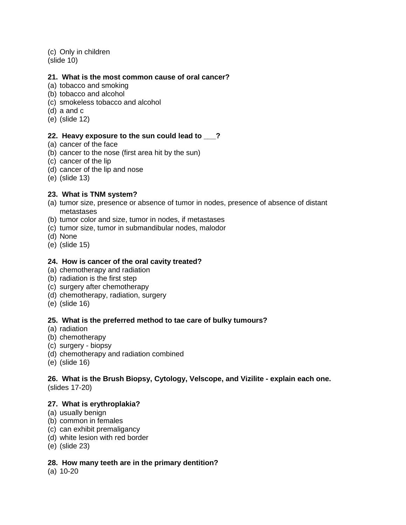(c) Only in children (slide 10)

#### **21. What is the most common cause of oral cancer?**

- (a) tobacco and smoking
- (b) tobacco and alcohol
- (c) smokeless tobacco and alcohol
- (d) a and c
- (e) (slide 12)

#### **22. Heavy exposure to the sun could lead to \_\_\_?**

- (a) cancer of the face
- (b) cancer to the nose (first area hit by the sun)
- (c) cancer of the lip
- (d) cancer of the lip and nose
- (e) (slide 13)

# **23. What is TNM system?**

- (a) tumor size, presence or absence of tumor in nodes, presence of absence of distant metastases
- (b) tumor color and size, tumor in nodes, if metastases
- (c) tumor size, tumor in submandibular nodes, malodor
- (d) None
- (e) (slide 15)

## **24. How is cancer of the oral cavity treated?**

- (a) chemotherapy and radiation
- (b) radiation is the first step
- (c) surgery after chemotherapy
- (d) chemotherapy, radiation, surgery
- (e) (slide 16)

# **25. What is the preferred method to tae care of bulky tumours?**

- (a) radiation
- (b) chemotherapy
- (c) surgery biopsy
- (d) chemotherapy and radiation combined
- (e) (slide 16)

# **26. What is the Brush Biopsy, Cytology, Velscope, and Vizilite - explain each one.**

(slides 17-20)

#### **27. What is erythroplakia?**

- (a) usually benign
- (b) common in females
- (c) can exhibit premaligancy
- (d) white lesion with red border
- (e) (slide 23)

#### **28. How many teeth are in the primary dentition?**

(a) 10-20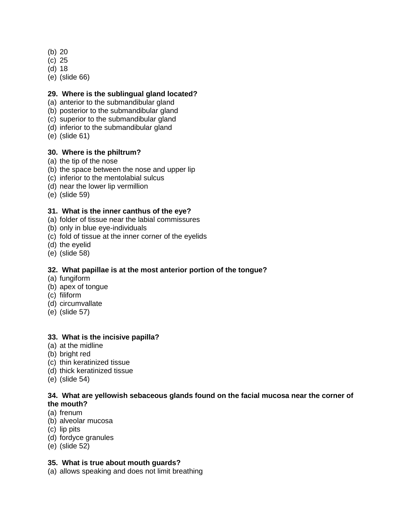- (b) 20
- (c) 25
- (d) 18
- (e) (slide 66)

# **29. Where is the sublingual gland located?**

- (a) anterior to the submandibular gland
- (b) posterior to the submandibular gland
- (c) superior to the submandibular gland
- (d) inferior to the submandibular gland
- (e) (slide 61)

#### **30. Where is the philtrum?**

- (a) the tip of the nose
- (b) the space between the nose and upper lip
- (c) inferior to the mentolabial sulcus
- (d) near the lower lip vermillion
- (e) (slide 59)

#### **31. What is the inner canthus of the eye?**

- (a) folder of tissue near the labial commissures
- (b) only in blue eye-individuals
- (c) fold of tissue at the inner corner of the eyelids
- (d) the eyelid
- (e) (slide 58)

# **32. What papillae is at the most anterior portion of the tongue?**

- (a) fungiform
- (b) apex of tongue
- (c) filiform
- (d) circumvallate
- (e) (slide 57)

# **33. What is the incisive papilla?**

- (a) at the midline
- (b) bright red
- (c) thin keratinized tissue
- (d) thick keratinized tissue
- (e) (slide 54)

#### **34. What are yellowish sebaceous glands found on the facial mucosa near the corner of the mouth?**

- (a) frenum
- (b) alveolar mucosa
- (c) lip pits
- (d) fordyce granules
- (e) (slide 52)

#### **35. What is true about mouth guards?**

(a) allows speaking and does not limit breathing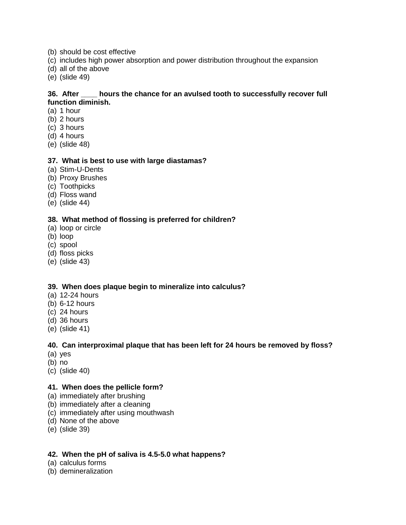- (b) should be cost effective
- (c) includes high power absorption and power distribution throughout the expansion
- (d) all of the above
- (e) (slide 49)

#### **36. After \_\_\_\_ hours the chance for an avulsed tooth to successfully recover full function diminish.**

- (a) 1 hour
- (b) 2 hours
- (c) 3 hours
- (d) 4 hours
- (e) (slide 48)

#### **37. What is best to use with large diastamas?**

- (a) Stim-U-Dents
- (b) Proxy Brushes
- (c) Toothpicks
- (d) Floss wand
- (e) (slide 44)

#### **38. What method of flossing is preferred for children?**

- (a) loop or circle
- (b) loop
- (c) spool
- (d) floss picks
- (e) (slide 43)

# **39. When does plaque begin to mineralize into calculus?**

- (a) 12-24 hours
- (b) 6-12 hours
- (c) 24 hours
- (d) 36 hours
- (e) (slide 41)

#### **40. Can interproximal plaque that has been left for 24 hours be removed by floss?**

- (a) yes
- (b) no
- (c) (slide 40)

#### **41. When does the pellicle form?**

- (a) immediately after brushing
- (b) immediately after a cleaning
- (c) immediately after using mouthwash
- (d) None of the above
- (e) (slide 39)

# **42. When the pH of saliva is 4.5-5.0 what happens?**

- (a) calculus forms
- (b) demineralization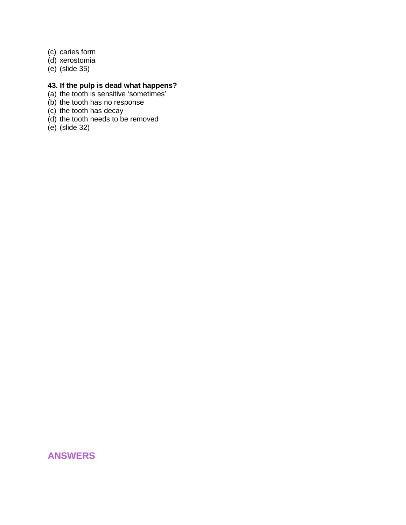- (c) caries form
- (d) xerostomia
- (e) (slide 35)

#### **43. If the pulp is dead what happens?**

- (a) the tooth is sensitive 'sometimes'
- (b) the tooth has no response
- (c) the tooth has decay
- (d) the tooth needs to be removed
- (e) (slide 32)

# **ANSWERS**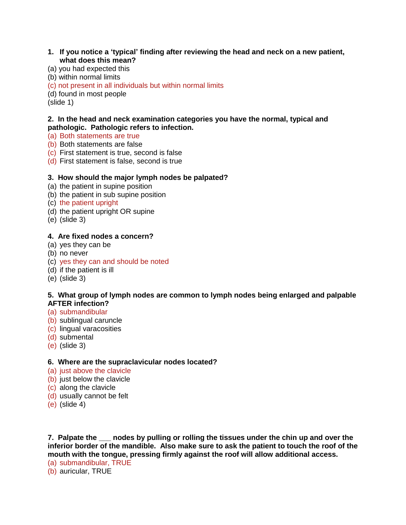#### **1. If you notice a 'typical' finding after reviewing the head and neck on a new patient, what does this mean?**

- (a) you had expected this
- (b) within normal limits
- (c) not present in all individuals but within normal limits

(d) found in most people

(slide 1)

#### **2. In the head and neck examination categories you have the normal, typical and pathologic. Pathologic refers to infection.**

- (a) Both statements are true
- (b) Both statements are false
- (c) First statement is true, second is false
- (d) First statement is false, second is true

# **3. How should the major lymph nodes be palpated?**

- (a) the patient in supine position
- (b) the patient in sub supine position
- (c) the patient upright
- (d) the patient upright OR supine
- (e) (slide 3)

#### **4. Are fixed nodes a concern?**

- (a) yes they can be
- (b) no never
- (c) yes they can and should be noted
- (d) if the patient is ill
- (e) (slide 3)

#### **5. What group of lymph nodes are common to lymph nodes being enlarged and palpable AFTER infection?**

- (a) submandibular
- (b) sublingual caruncle
- (c) lingual varacosities
- (d) submental
- (e) (slide 3)

# **6. Where are the supraclavicular nodes located?**

- (a) just above the clavicle
- (b) just below the clavicle
- (c) along the clavicle
- (d) usually cannot be felt
- (e) (slide 4)

**7. Palpate the \_\_\_ nodes by pulling or rolling the tissues under the chin up and over the inferior border of the mandible. Also make sure to ask the patient to touch the roof of the mouth with the tongue, pressing firmly against the roof will allow additional access.**

(a) submandibular, TRUE

(b) auricular, TRUE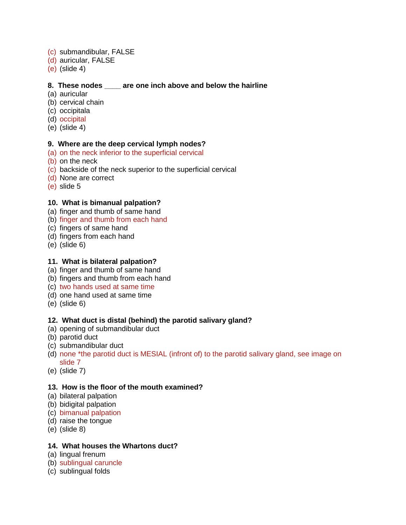- (c) submandibular, FALSE
- (d) auricular, FALSE
- (e) (slide 4)

# **8. These nodes \_\_\_\_ are one inch above and below the hairline**

- (a) auricular
- (b) cervical chain
- (c) occipitala
- (d) occipital
- (e) (slide 4)

#### **9. Where are the deep cervical lymph nodes?**

- (a) on the neck inferior to the superficial cervical
- (b) on the neck
- (c) backside of the neck superior to the superficial cervical
- (d) None are correct
- (e) slide 5

#### **10. What is bimanual palpation?**

- (a) finger and thumb of same hand
- (b) finger and thumb from each hand
- (c) fingers of same hand
- (d) fingers from each hand
- (e) (slide 6)

## **11. What is bilateral palpation?**

- (a) finger and thumb of same hand
- (b) fingers and thumb from each hand
- (c) two hands used at same time
- (d) one hand used at same time
- (e) (slide 6)

# **12. What duct is distal (behind) the parotid salivary gland?**

- (a) opening of submandibular duct
- (b) parotid duct
- (c) submandibular duct
- (d) none \*the parotid duct is MESIAL (infront of) to the parotid salivary gland, see image on slide 7
- (e) (slide 7)

#### **13. How is the floor of the mouth examined?**

- (a) bilateral palpation
- (b) bidigital palpation
- (c) bimanual palpation
- (d) raise the tongue
- (e) (slide 8)

#### **14. What houses the Whartons duct?**

- (a) lingual frenum
- (b) sublingual caruncle
- (c) sublingual folds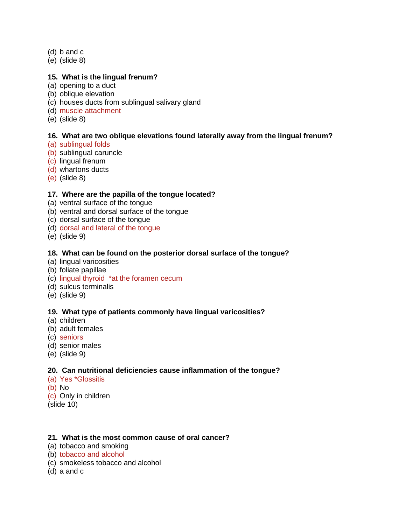- (d) b and c
- (e) (slide 8)

## **15. What is the lingual frenum?**

- (a) opening to a duct
- (b) oblique elevation
- (c) houses ducts from sublingual salivary gland
- (d) muscle attachment
- (e) (slide 8)

#### **16. What are two oblique elevations found laterally away from the lingual frenum?**

- (a) sublingual folds
- (b) sublingual caruncle
- (c) lingual frenum
- (d) whartons ducts
- (e) (slide 8)

# **17. Where are the papilla of the tongue located?**

- (a) ventral surface of the tongue
- (b) ventral and dorsal surface of the tongue
- (c) dorsal surface of the tongue
- (d) dorsal and lateral of the tongue
- (e) (slide 9)

#### **18. What can be found on the posterior dorsal surface of the tongue?**

- (a) lingual varicosities
- (b) foliate papillae
- (c) lingual thyroid \*at the foramen cecum
- (d) sulcus terminalis
- (e) (slide 9)

#### **19. What type of patients commonly have lingual varicosities?**

- (a) children
- (b) adult females
- (c) seniors
- (d) senior males
- (e) (slide 9)

# **20. Can nutritional deficiencies cause inflammation of the tongue?**

- (a) Yes \*Glossitis
- (b) No
- (c) Only in children
- (slide 10)

# **21. What is the most common cause of oral cancer?**

- (a) tobacco and smoking
- (b) tobacco and alcohol
- (c) smokeless tobacco and alcohol
- (d) a and c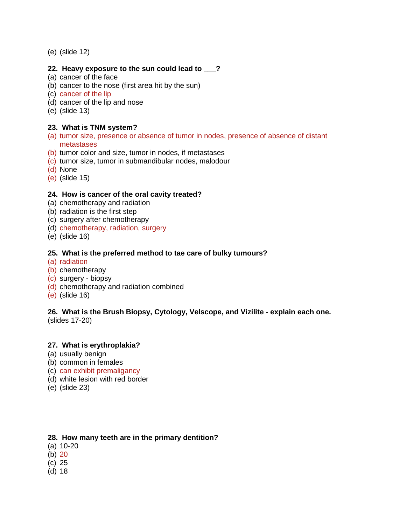(e) (slide 12)

#### **22. Heavy exposure to the sun could lead to \_\_\_?**

- (a) cancer of the face
- (b) cancer to the nose (first area hit by the sun)
- (c) cancer of the lip
- (d) cancer of the lip and nose
- (e) (slide 13)

# **23. What is TNM system?**

- (a) tumor size, presence or absence of tumor in nodes, presence of absence of distant metastases
- (b) tumor color and size, tumor in nodes, if metastases
- (c) tumor size, tumor in submandibular nodes, malodour
- (d) None
- (e) (slide 15)

#### **24. How is cancer of the oral cavity treated?**

- (a) chemotherapy and radiation
- (b) radiation is the first step
- (c) surgery after chemotherapy
- (d) chemotherapy, radiation, surgery
- (e) (slide 16)

#### **25. What is the preferred method to tae care of bulky tumours?**

- (a) radiation
- (b) chemotherapy
- (c) surgery biopsy
- (d) chemotherapy and radiation combined
- (e) (slide 16)

#### **26. What is the Brush Biopsy, Cytology, Velscope, and Vizilite - explain each one.** (slides 17-20)

#### **27. What is erythroplakia?**

- (a) usually benign
- (b) common in females
- (c) can exhibit premaligancy
- (d) white lesion with red border
- (e) (slide 23)

#### **28. How many teeth are in the primary dentition?**

- (a) 10-20
- $(b)$  20
- (c) 25
- (d) 18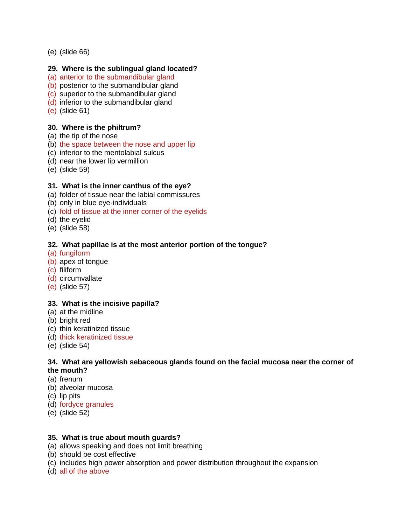(e) (slide 66)

## **29. Where is the sublingual gland located?**

- (a) anterior to the submandibular gland
- (b) posterior to the submandibular gland
- (c) superior to the submandibular gland
- (d) inferior to the submandibular gland
- (e) (slide 61)

#### **30. Where is the philtrum?**

- (a) the tip of the nose
- (b) the space between the nose and upper lip
- (c) inferior to the mentolabial sulcus
- (d) near the lower lip vermillion
- (e) (slide 59)

# **31. What is the inner canthus of the eye?**

- (a) folder of tissue near the labial commissures
- (b) only in blue eye-individuals
- (c) fold of tissue at the inner corner of the eyelids
- (d) the eyelid
- (e) (slide 58)

#### **32. What papillae is at the most anterior portion of the tongue?**

- (a) fungiform
- (b) apex of tongue
- (c) filiform
- (d) circumvallate
- (e) (slide 57)

# **33. What is the incisive papilla?**

- (a) at the midline
- (b) bright red
- (c) thin keratinized tissue
- (d) thick keratinized tissue
- (e) (slide 54)

#### **34. What are yellowish sebaceous glands found on the facial mucosa near the corner of the mouth?**

- (a) frenum
- (b) alveolar mucosa
- (c) lip pits
- (d) fordyce granules
- (e) (slide 52)

# **35. What is true about mouth guards?**

- (a) allows speaking and does not limit breathing
- (b) should be cost effective
- (c) includes high power absorption and power distribution throughout the expansion
- (d) all of the above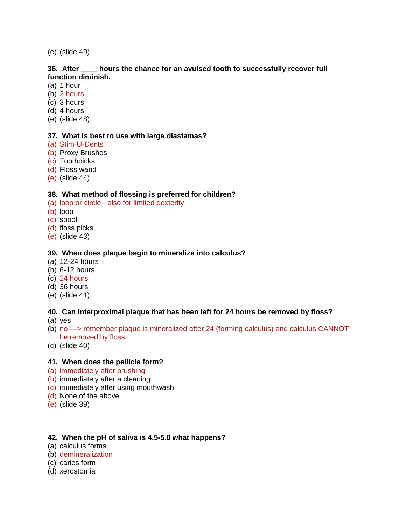(e) (slide 49)

#### **36. After \_\_\_\_ hours the chance for an avulsed tooth to successfully recover full function diminish.**

- (a) 1 hour
- (b) 2 hours
- (c) 3 hours
- (d) 4 hours
- (e) (slide 48)

#### **37. What is best to use with large diastamas?**

- (a) Stim-U-Dents
- (b) Proxy Brushes
- (c) Toothpicks
- (d) Floss wand
- (e) (slide 44)

# **38. What method of flossing is preferred for children?**

- (a) loop or circle also for limited dexterity
- (b) loop
- (c) spool
- (d) floss picks
- (e) (slide 43)

# **39. When does plaque begin to mineralize into calculus?**

- (a) 12-24 hours
- (b) 6-12 hours
- (c) 24 hours
- (d) 36 hours
- (e) (slide 41)

# **40. Can interproximal plaque that has been left for 24 hours be removed by floss?**

- (a) yes
- (b) no —> remember plaque is mineralized after 24 (forming calculus) and calculus CANNOT be removed by floss
- (c) (slide 40)

# **41. When does the pellicle form?**

- (a) immediately after brushing
- (b) immediately after a cleaning
- (c) immediately after using mouthwash
- (d) None of the above
- (e) (slide 39)

# **42. When the pH of saliva is 4.5-5.0 what happens?**

- (a) calculus forms
- (b) demineralization
- (c) caries form
- (d) xerostomia